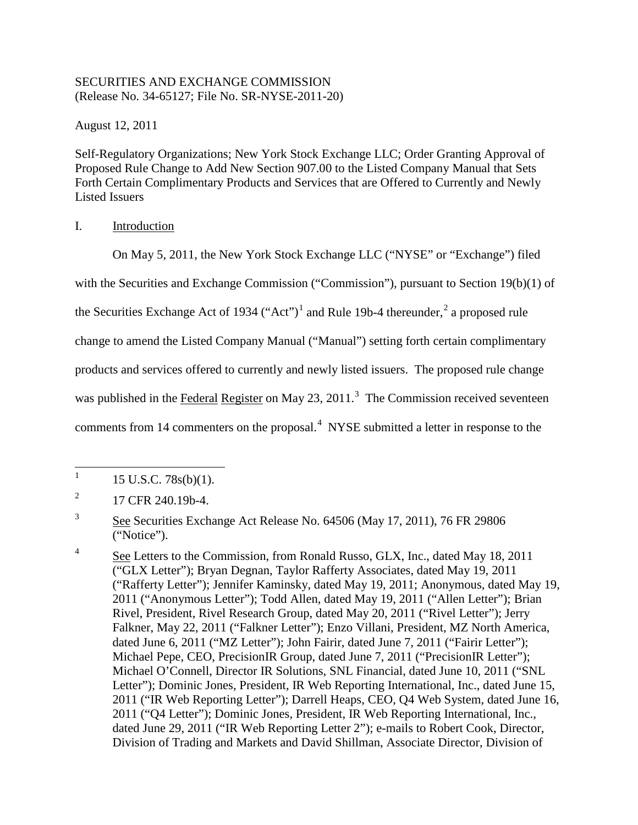# SECURITIES AND EXCHANGE COMMISSION (Release No. 34-65127; File No. SR-NYSE-2011-20)

August 12, 2011

Self-Regulatory Organizations; New York Stock Exchange LLC; Order Granting Approval of Proposed Rule Change to Add New Section 907.00 to the Listed Company Manual that Sets Forth Certain Complimentary Products and Services that are Offered to Currently and Newly Listed Issuers

# I. Introduction

On May 5, 2011, the New York Stock Exchange LLC ("NYSE" or "Exchange") filed

with the Securities and Exchange Commission ("Commission"), pursuant to Section 19(b)(1) of

the Securities Exchange Act of [1](#page-0-0)934 ("Act")<sup>1</sup> and Rule 19b-4 thereunder,<sup>[2](#page-0-1)</sup> a proposed rule

change to amend the Listed Company Manual ("Manual") setting forth certain complimentary

products and services offered to currently and newly listed issuers. The proposed rule change

was published in the Federal Register on May 2[3](#page-0-2), 2011.<sup>3</sup> The Commission received seventeen

comments from 1[4](#page-0-3) commenters on the proposal. $4$  NYSE submitted a letter in response to the

<sup>|&</sup>lt;br>|<br>| 15 U.S.C. 78s(b)(1).

<span id="page-0-1"></span><span id="page-0-0"></span><sup>2</sup> 17 CFR 240.19b-4.

<span id="page-0-2"></span><sup>3</sup> See Securities Exchange Act Release No. 64506 (May 17, 2011), 76 FR 29806 ("Notice").

<span id="page-0-3"></span><sup>4</sup> See Letters to the Commission, from Ronald Russo, GLX, Inc., dated May 18, 2011 ("GLX Letter"); Bryan Degnan, Taylor Rafferty Associates, dated May 19, 2011 ("Rafferty Letter"); Jennifer Kaminsky, dated May 19, 2011; Anonymous, dated May 19, 2011 ("Anonymous Letter"); Todd Allen, dated May 19, 2011 ("Allen Letter"); Brian Rivel, President, Rivel Research Group, dated May 20, 2011 ("Rivel Letter"); Jerry Falkner, May 22, 2011 ("Falkner Letter"); Enzo Villani, President, MZ North America, dated June 6, 2011 ("MZ Letter"); John Fairir, dated June 7, 2011 ("Fairir Letter"); Michael Pepe, CEO, PrecisionIR Group, dated June 7, 2011 ("PrecisionIR Letter"); Michael O'Connell, Director IR Solutions, SNL Financial, dated June 10, 2011 ("SNL Letter"); Dominic Jones, President, IR Web Reporting International, Inc., dated June 15, 2011 ("IR Web Reporting Letter"); Darrell Heaps, CEO, Q4 Web System, dated June 16, 2011 ("Q4 Letter"); Dominic Jones, President, IR Web Reporting International, Inc., dated June 29, 2011 ("IR Web Reporting Letter 2"); e-mails to Robert Cook, Director, Division of Trading and Markets and David Shillman, Associate Director, Division of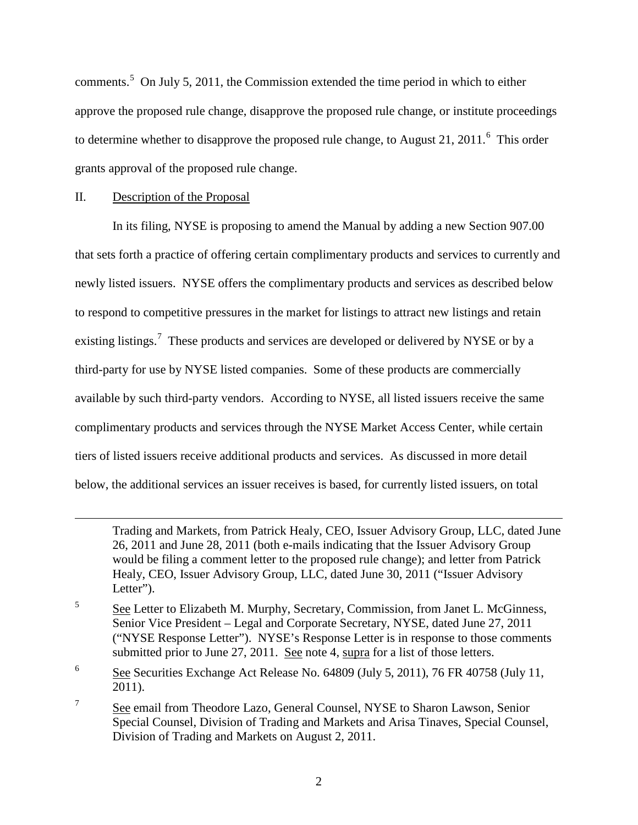comments.<sup>[5](#page-1-0)</sup> On July 5, 2011, the Commission extended the time period in which to either approve the proposed rule change, disapprove the proposed rule change, or institute proceedings to determine whether to disapprove the proposed rule change, to August 21, 2011. $^6$  $^6$  This order grants approval of the proposed rule change.

### II. Description of the Proposal

 $\overline{a}$ 

In its filing, NYSE is proposing to amend the Manual by adding a new Section 907.00 that sets forth a practice of offering certain complimentary products and services to currently and newly listed issuers. NYSE offers the complimentary products and services as described below to respond to competitive pressures in the market for listings to attract new listings and retain existing listings.<sup>[7](#page-1-2)</sup> These products and services are developed or delivered by NYSE or by a third-party for use by NYSE listed companies. Some of these products are commercially available by such third-party vendors. According to NYSE, all listed issuers receive the same complimentary products and services through the NYSE Market Access Center, while certain tiers of listed issuers receive additional products and services. As discussed in more detail below, the additional services an issuer receives is based, for currently listed issuers, on total

Trading and Markets, from Patrick Healy, CEO, Issuer Advisory Group, LLC, dated June 26, 2011 and June 28, 2011 (both e-mails indicating that the Issuer Advisory Group would be filing a comment letter to the proposed rule change); and letter from Patrick Healy, CEO, Issuer Advisory Group, LLC, dated June 30, 2011 ("Issuer Advisory Letter").

<span id="page-1-0"></span><sup>5</sup> See Letter to Elizabeth M. Murphy, Secretary, Commission, from Janet L. McGinness, Senior Vice President – Legal and Corporate Secretary, NYSE, dated June 27, 2011 ("NYSE Response Letter"). NYSE's Response Letter is in response to those comments submitted prior to June 27, 2011. See note 4, supra for a list of those letters.

<span id="page-1-1"></span><sup>6</sup> See Securities Exchange Act Release No. 64809 (July 5, 2011), 76 FR 40758 (July 11, 2011).

<span id="page-1-2"></span><sup>7</sup> See email from Theodore Lazo, General Counsel, NYSE to Sharon Lawson, Senior Special Counsel, Division of Trading and Markets and Arisa Tinaves, Special Counsel, Division of Trading and Markets on August 2, 2011.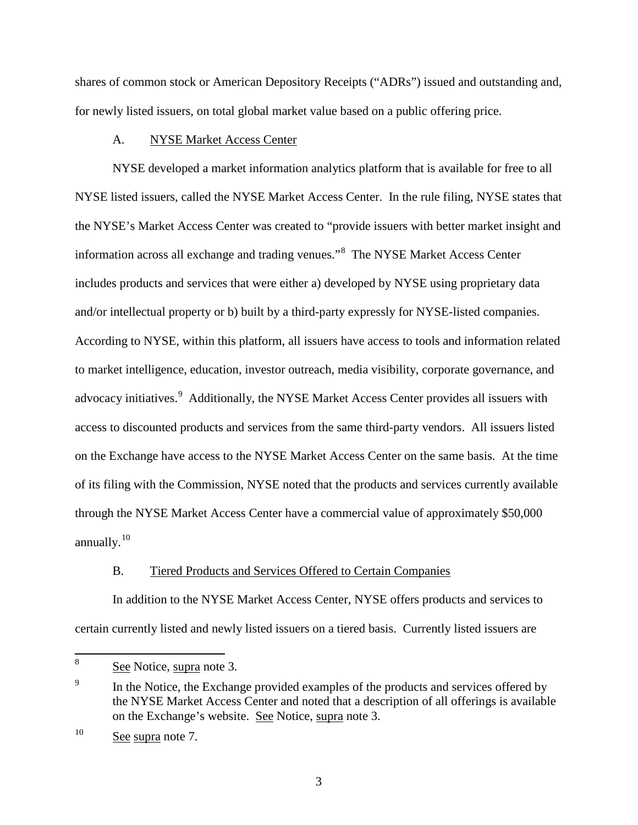shares of common stock or American Depository Receipts ("ADRs") issued and outstanding and, for newly listed issuers, on total global market value based on a public offering price.

## A. NYSE Market Access Center

NYSE developed a market information analytics platform that is available for free to all NYSE listed issuers, called the NYSE Market Access Center. In the rule filing, NYSE states that the NYSE's Market Access Center was created to "provide issuers with better market insight and information across all exchange and trading venues." [8](#page-2-0) The NYSE Market Access Center includes products and services that were either a) developed by NYSE using proprietary data and/or intellectual property or b) built by a third-party expressly for NYSE-listed companies. According to NYSE, within this platform, all issuers have access to tools and information related to market intelligence, education, investor outreach, media visibility, corporate governance, and advocacy initiatives.<sup>[9](#page-2-1)</sup> Additionally, the NYSE Market Access Center provides all issuers with access to discounted products and services from the same third-party vendors. All issuers listed on the Exchange have access to the NYSE Market Access Center on the same basis. At the time of its filing with the Commission, NYSE noted that the products and services currently available through the NYSE Market Access Center have a commercial value of approximately \$50,000 annually.<sup>[10](#page-2-2)</sup>

# B. Tiered Products and Services Offered to Certain Companies

 In addition to the NYSE Market Access Center, NYSE offers products and services to certain currently listed and newly listed issuers on a tiered basis. Currently listed issuers are

<span id="page-2-0"></span> 8 See Notice, supra note 3.

<span id="page-2-1"></span><sup>9</sup> In the Notice, the Exchange provided examples of the products and services offered by the NYSE Market Access Center and noted that a description of all offerings is available on the Exchange's website. See Notice, supra note 3.

<span id="page-2-2"></span><sup>&</sup>lt;sup>10</sup> See supra note 7.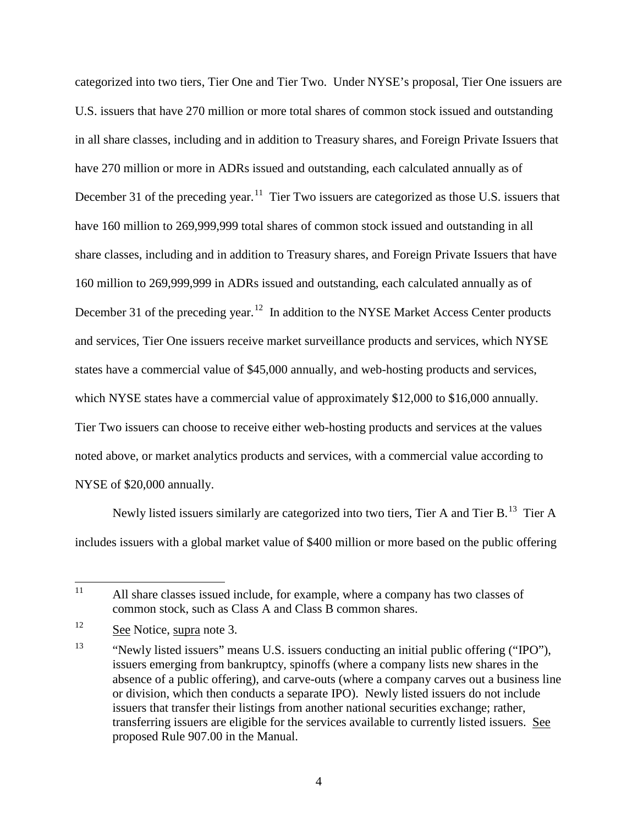categorized into two tiers, Tier One and Tier Two. Under NYSE's proposal, Tier One issuers are U.S. issuers that have 270 million or more total shares of common stock issued and outstanding in all share classes, including and in addition to Treasury shares, and Foreign Private Issuers that have 270 million or more in ADRs issued and outstanding, each calculated annually as of December 31 of the preceding year.<sup>11</sup> Tier Two issuers are categorized as those U.S. issuers that have 160 million to 269,999,999 total shares of common stock issued and outstanding in all share classes, including and in addition to Treasury shares, and Foreign Private Issuers that have 160 million to 269,999,999 in ADRs issued and outstanding, each calculated annually as of December 31 of the preceding year.<sup>[12](#page-3-1)</sup> In addition to the NYSE Market Access Center products and services, Tier One issuers receive market surveillance products and services, which NYSE states have a commercial value of \$45,000 annually, and web-hosting products and services, which NYSE states have a commercial value of approximately \$12,000 to \$16,000 annually. Tier Two issuers can choose to receive either web-hosting products and services at the values noted above, or market analytics products and services, with a commercial value according to NYSE of \$20,000 annually.

Newly listed issuers similarly are categorized into two tiers, Tier A and Tier B.<sup>[13](#page-3-2)</sup> Tier A includes issuers with a global market value of \$400 million or more based on the public offering

<span id="page-3-0"></span> $11$ All share classes issued include, for example, where a company has two classes of common stock, such as Class A and Class B common shares.

<span id="page-3-1"></span><sup>&</sup>lt;sup>12</sup> See Notice, supra note 3.

<span id="page-3-2"></span><sup>&</sup>lt;sup>13</sup> "Newly listed issuers" means U.S. issuers conducting an initial public offering ("IPO"), issuers emerging from bankruptcy, spinoffs (where a company lists new shares in the absence of a public offering), and carve-outs (where a company carves out a business line or division, which then conducts a separate IPO). Newly listed issuers do not include issuers that transfer their listings from another national securities exchange; rather, transferring issuers are eligible for the services available to currently listed issuers. See proposed Rule 907.00 in the Manual.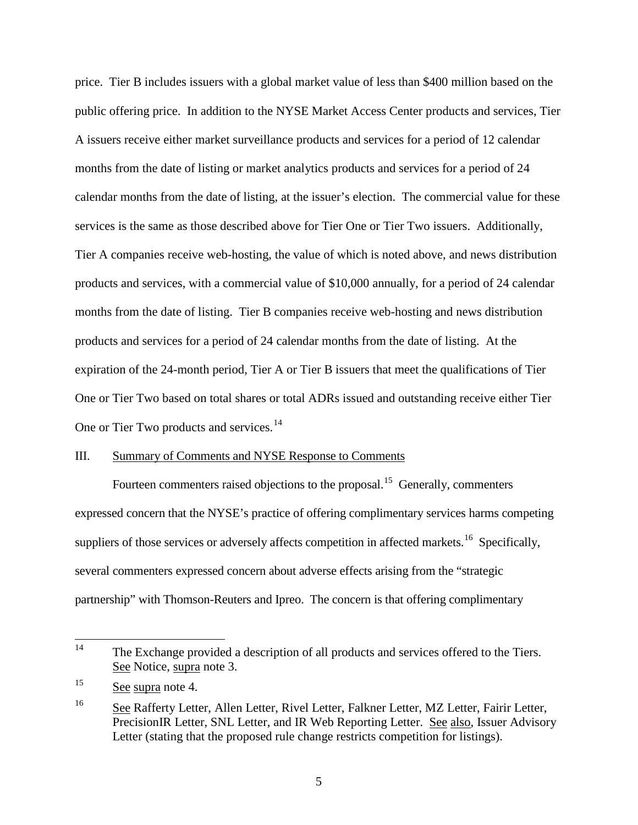price. Tier B includes issuers with a global market value of less than \$400 million based on the public offering price. In addition to the NYSE Market Access Center products and services, Tier A issuers receive either market surveillance products and services for a period of 12 calendar months from the date of listing or market analytics products and services for a period of 24 calendar months from the date of listing, at the issuer's election. The commercial value for these services is the same as those described above for Tier One or Tier Two issuers. Additionally, Tier A companies receive web-hosting, the value of which is noted above, and news distribution products and services, with a commercial value of \$10,000 annually, for a period of 24 calendar months from the date of listing. Tier B companies receive web-hosting and news distribution products and services for a period of 24 calendar months from the date of listing. At the expiration of the 24-month period, Tier A or Tier B issuers that meet the qualifications of Tier One or Tier Two based on total shares or total ADRs issued and outstanding receive either Tier One or Tier Two products and services.<sup>[14](#page-4-0)</sup>

#### III. Summary of Comments and NYSE Response to Comments

Fourteen commenters raised objections to the proposal.<sup>15</sup> Generally, commenters expressed concern that the NYSE's practice of offering complimentary services harms competing suppliers of those services or adversely affects competition in affected markets.<sup>[16](#page-4-2)</sup> Specifically, several commenters expressed concern about adverse effects arising from the "strategic partnership" with Thomson-Reuters and Ipreo. The concern is that offering complimentary

<span id="page-4-0"></span> $14$ The Exchange provided a description of all products and services offered to the Tiers. See Notice, supra note 3.

<span id="page-4-1"></span><sup>&</sup>lt;sup>15</sup> See supra note 4.

<span id="page-4-2"></span><sup>&</sup>lt;sup>16</sup> See Rafferty Letter, Allen Letter, Rivel Letter, Falkner Letter, MZ Letter, Fairir Letter, PrecisionIR Letter, SNL Letter, and IR Web Reporting Letter. See also, Issuer Advisory Letter (stating that the proposed rule change restricts competition for listings).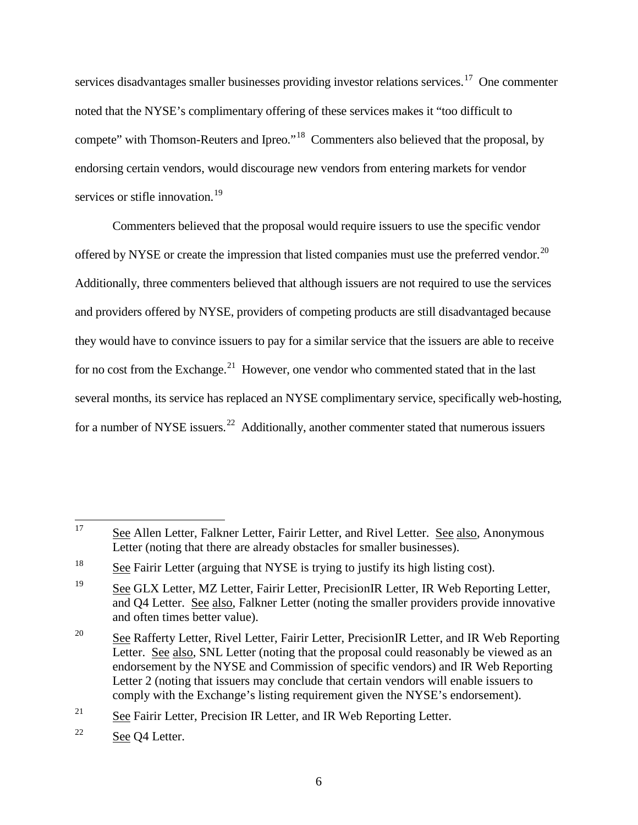services disadvantages smaller businesses providing investor relations services.<sup>17</sup> One commenter noted that the NYSE's complimentary offering of these services makes it "too difficult to compete" with Thomson-Reuters and Ipreo."[18](#page-5-1) Commenters also believed that the proposal, by endorsing certain vendors, would discourage new vendors from entering markets for vendor services or stifle innovation.<sup>[19](#page-5-2)</sup>

Commenters believed that the proposal would require issuers to use the specific vendor offered by NYSE or create the impression that listed companies must use the preferred vendor.<sup>20</sup> Additionally, three commenters believed that although issuers are not required to use the services and providers offered by NYSE, providers of competing products are still disadvantaged because they would have to convince issuers to pay for a similar service that the issuers are able to receive for no cost from the Exchange.<sup>[21](#page-5-4)</sup> However, one vendor who commented stated that in the last several months, its service has replaced an NYSE complimentary service, specifically web-hosting, for a number of NYSE issuers.<sup>[22](#page-5-5)</sup> Additionally, another commenter stated that numerous issuers

<span id="page-5-4"></span> $21$  See Fairir Letter, Precision IR Letter, and IR Web Reporting Letter.

<span id="page-5-0"></span><sup>17</sup> See Allen Letter, Falkner Letter, Fairir Letter, and Rivel Letter. See also, Anonymous Letter (noting that there are already obstacles for smaller businesses).

<span id="page-5-1"></span><sup>&</sup>lt;sup>18</sup> See Fairir Letter (arguing that NYSE is trying to justify its high listing cost).

<span id="page-5-2"></span><sup>&</sup>lt;sup>19</sup> See GLX Letter, MZ Letter, Fairir Letter, PrecisionIR Letter, IR Web Reporting Letter, and Q4 Letter. See also, Falkner Letter (noting the smaller providers provide innovative and often times better value).

<span id="page-5-3"></span><sup>&</sup>lt;sup>20</sup> See Rafferty Letter, Rivel Letter, Fairir Letter, PrecisionIR Letter, and IR Web Reporting Letter. See also, SNL Letter (noting that the proposal could reasonably be viewed as an endorsement by the NYSE and Commission of specific vendors) and IR Web Reporting Letter 2 (noting that issuers may conclude that certain vendors will enable issuers to comply with the Exchange's listing requirement given the NYSE's endorsement).

<span id="page-5-5"></span> $22$  See Q4 Letter.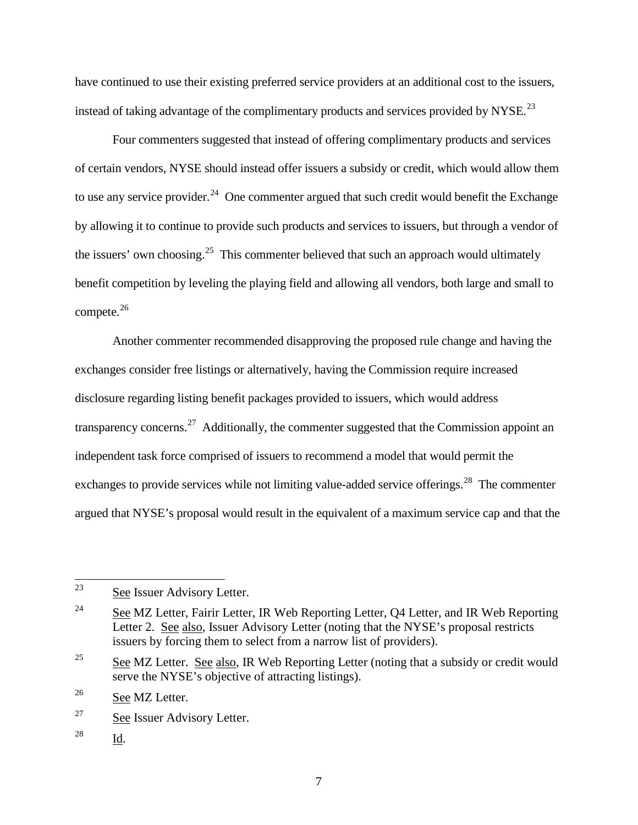have continued to use their existing preferred service providers at an additional cost to the issuers, instead of taking advantage of the complimentary products and services provided by NYSE.<sup>[23](#page-6-0)</sup>

Four commenters suggested that instead of offering complimentary products and services of certain vendors, NYSE should instead offer issuers a subsidy or credit, which would allow them to use any service provider.<sup>[24](#page-6-1)</sup> One commenter argued that such credit would benefit the Exchange by allowing it to continue to provide such products and services to issuers, but through a vendor of the issuers' own choosing.<sup>[25](#page-6-2)</sup> This commenter believed that such an approach would ultimately benefit competition by leveling the playing field and allowing all vendors, both large and small to compete. $26$ 

Another commenter recommended disapproving the proposed rule change and having the exchanges consider free listings or alternatively, having the Commission require increased disclosure regarding listing benefit packages provided to issuers, which would address transparency concerns.<sup>[27](#page-6-4)</sup> Additionally, the commenter suggested that the Commission appoint an independent task force comprised of issuers to recommend a model that would permit the exchanges to provide services while not limiting value-added service offerings.<sup>[28](#page-6-5)</sup> The commenter argued that NYSE's proposal would result in the equivalent of a maximum service cap and that the

<span id="page-6-5"></span>28 Id.

<span id="page-6-0"></span><sup>23</sup> See Issuer Advisory Letter.

<span id="page-6-1"></span> $24$  See MZ Letter, Fairir Letter, IR Web Reporting Letter, Q4 Letter, and IR Web Reporting Letter 2. See also, Issuer Advisory Letter (noting that the NYSE's proposal restricts issuers by forcing them to select from a narrow list of providers).

<span id="page-6-2"></span><sup>&</sup>lt;sup>25</sup> See MZ Letter. See also, IR Web Reporting Letter (noting that a subsidy or credit would serve the NYSE's objective of attracting listings).

<span id="page-6-3"></span><sup>&</sup>lt;sup>26</sup> See MZ Letter.

<span id="page-6-4"></span><sup>27</sup> See Issuer Advisory Letter.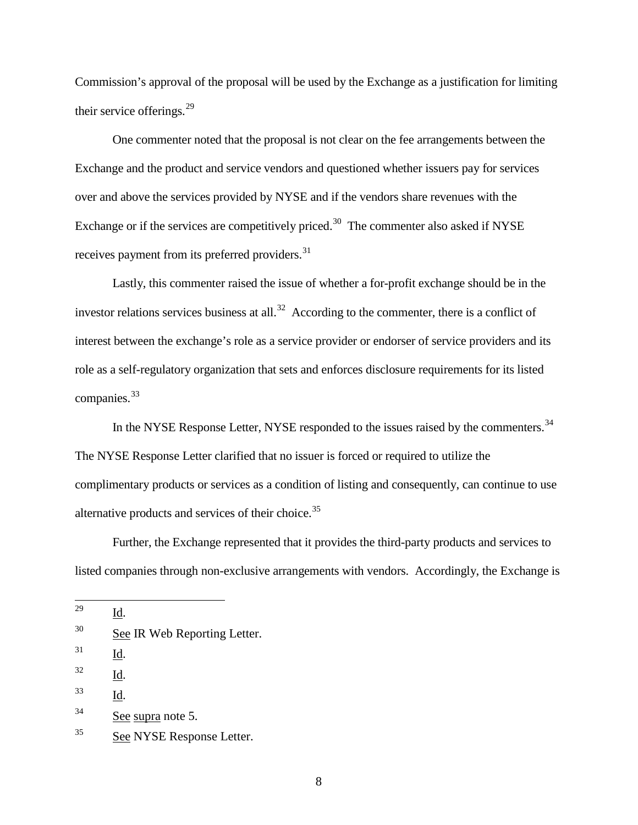Commission's approval of the proposal will be used by the Exchange as a justification for limiting their service offerings.<sup>[29](#page-7-0)</sup>

One commenter noted that the proposal is not clear on the fee arrangements between the Exchange and the product and service vendors and questioned whether issuers pay for services over and above the services provided by NYSE and if the vendors share revenues with the Exchange or if the services are competitively priced.<sup>30</sup> The commenter also asked if NYSE receives payment from its preferred providers.<sup>[31](#page-7-2)</sup>

Lastly, this commenter raised the issue of whether a for-profit exchange should be in the investor relations services business at all.<sup>[32](#page-7-3)</sup> According to the commenter, there is a conflict of interest between the exchange's role as a service provider or endorser of service providers and its role as a self-regulatory organization that sets and enforces disclosure requirements for its listed companies. [33](#page-7-4)

In the NYSE Response Letter, NYSE responded to the issues raised by the commenters.<sup>[34](#page-7-5)</sup> The NYSE Response Letter clarified that no issuer is forced or required to utilize the complimentary products or services as a condition of listing and consequently, can continue to use alternative products and services of their choice. $35$ 

Further, the Exchange represented that it provides the third-party products and services to listed companies through non-exclusive arrangements with vendors. Accordingly, the Exchange is

<span id="page-7-0"></span>29 Id.

<span id="page-7-2"></span>31 Id.

<span id="page-7-3"></span> $^{32}$  Id.

<span id="page-7-4"></span>33 Id.

<span id="page-7-1"></span> $30$  See IR Web Reporting Letter.

<span id="page-7-5"></span> $34$  See supra note 5.

<span id="page-7-6"></span><sup>&</sup>lt;sup>35</sup> See NYSE Response Letter.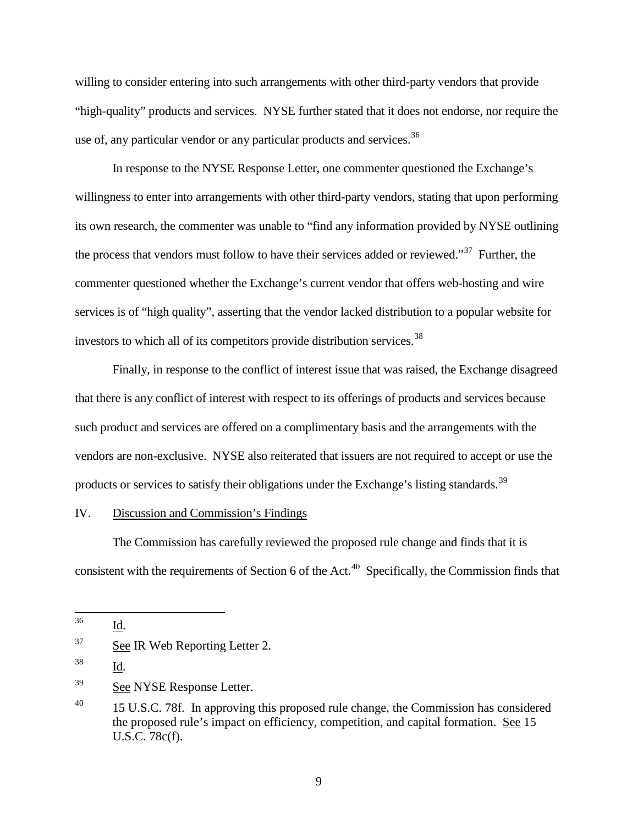willing to consider entering into such arrangements with other third-party vendors that provide "high-quality" products and services. NYSE further stated that it does not endorse, nor require the use of, any particular vendor or any particular products and services.<sup>[36](#page-8-0)</sup>

In response to the NYSE Response Letter, one commenter questioned the Exchange's willingness to enter into arrangements with other third-party vendors, stating that upon performing its own research, the commenter was unable to "find any information provided by NYSE outlining the process that vendors must follow to have their services added or reviewed."<sup>37</sup> Further, the commenter questioned whether the Exchange's current vendor that offers web-hosting and wire services is of "high quality", asserting that the vendor lacked distribution to a popular website for investors to which all of its competitors provide distribution services.<sup>[38](#page-8-2)</sup>

Finally, in response to the conflict of interest issue that was raised, the Exchange disagreed that there is any conflict of interest with respect to its offerings of products and services because such product and services are offered on a complimentary basis and the arrangements with the vendors are non-exclusive. NYSE also reiterated that issuers are not required to accept or use the products or services to satisfy their obligations under the Exchange's listing standards.<sup>[39](#page-8-3)</sup>

### IV. Discussion and Commission's Findings

The Commission has carefully reviewed the proposed rule change and finds that it is consistent with the requirements of Section 6 of the Act.<sup>[40](#page-8-4)</sup> Specifically, the Commission finds that

<span id="page-8-0"></span>36 Id.

<span id="page-8-2"></span>38 Id.

<span id="page-8-3"></span><sup>39</sup> See NYSE Response Letter.

<span id="page-8-1"></span> $37$  See IR Web Reporting Letter 2.

<span id="page-8-4"></span><sup>&</sup>lt;sup>40</sup> 15 U.S.C. 78f. In approving this proposed rule change, the Commission has considered the proposed rule's impact on efficiency, competition, and capital formation. See 15 U.S.C. 78c(f).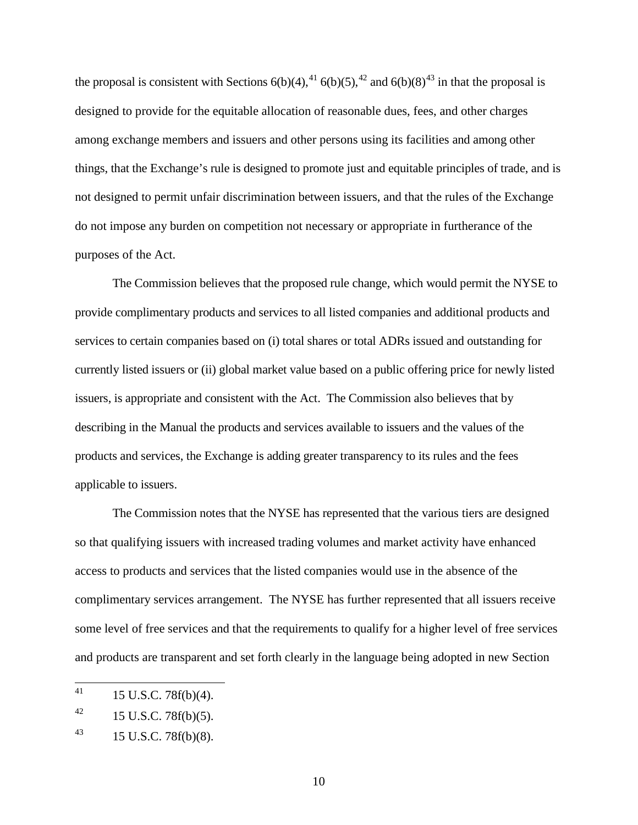the proposal is consistent with Sections  $6(b)(4)$ ,  $4 \cdot 6(b)(5)$ ,  $4 \cdot 2$  and  $6(b)(8)$  $4 \cdot 3$  in that the proposal is designed to provide for the equitable allocation of reasonable dues, fees, and other charges among exchange members and issuers and other persons using its facilities and among other things, that the Exchange's rule is designed to promote just and equitable principles of trade, and is not designed to permit unfair discrimination between issuers, and that the rules of the Exchange do not impose any burden on competition not necessary or appropriate in furtherance of the purposes of the Act.

The Commission believes that the proposed rule change, which would permit the NYSE to provide complimentary products and services to all listed companies and additional products and services to certain companies based on (i) total shares or total ADRs issued and outstanding for currently listed issuers or (ii) global market value based on a public offering price for newly listed issuers, is appropriate and consistent with the Act. The Commission also believes that by describing in the Manual the products and services available to issuers and the values of the products and services, the Exchange is adding greater transparency to its rules and the fees applicable to issuers.

The Commission notes that the NYSE has represented that the various tiers are designed so that qualifying issuers with increased trading volumes and market activity have enhanced access to products and services that the listed companies would use in the absence of the complimentary services arrangement. The NYSE has further represented that all issuers receive some level of free services and that the requirements to qualify for a higher level of free services and products are transparent and set forth clearly in the language being adopted in new Section

<span id="page-9-0"></span><sup>41</sup> 41 15 U.S.C. 78f(b)(4).

<span id="page-9-1"></span> $^{42}$  15 U.S.C. 78f(b)(5).

<span id="page-9-2"></span> $^{43}$  15 U.S.C. 78f(b)(8).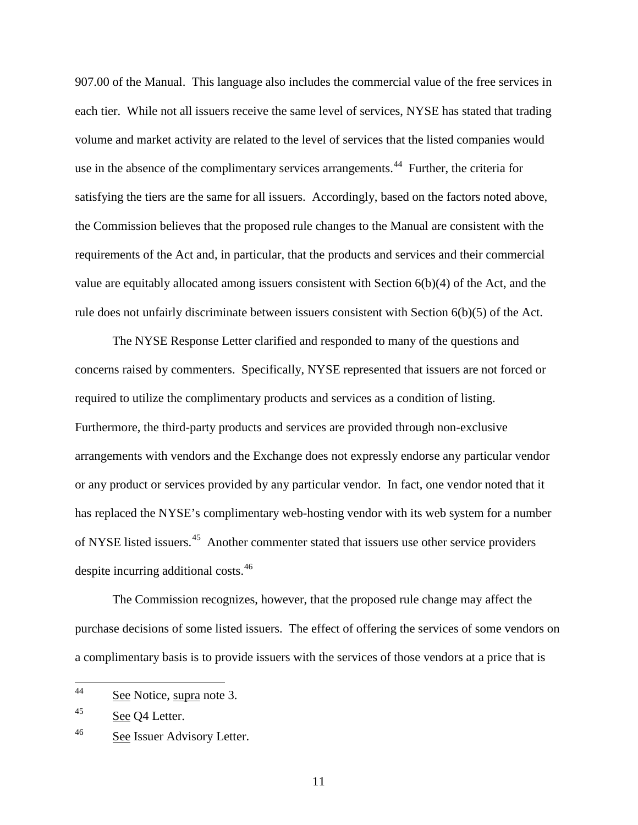907.00 of the Manual. This language also includes the commercial value of the free services in each tier. While not all issuers receive the same level of services, NYSE has stated that trading volume and market activity are related to the level of services that the listed companies would use in the absence of the complimentary services arrangements.<sup>[44](#page-10-0)</sup> Further, the criteria for satisfying the tiers are the same for all issuers. Accordingly, based on the factors noted above, the Commission believes that the proposed rule changes to the Manual are consistent with the requirements of the Act and, in particular, that the products and services and their commercial value are equitably allocated among issuers consistent with Section 6(b)(4) of the Act, and the rule does not unfairly discriminate between issuers consistent with Section 6(b)(5) of the Act.

The NYSE Response Letter clarified and responded to many of the questions and concerns raised by commenters. Specifically, NYSE represented that issuers are not forced or required to utilize the complimentary products and services as a condition of listing. Furthermore, the third-party products and services are provided through non-exclusive arrangements with vendors and the Exchange does not expressly endorse any particular vendor or any product or services provided by any particular vendor. In fact, one vendor noted that it has replaced the NYSE's complimentary web-hosting vendor with its web system for a number of NYSE listed issuers.<sup>45</sup> Another commenter stated that issuers use other service providers despite incurring additional costs.<sup>[46](#page-10-2)</sup>

The Commission recognizes, however, that the proposed rule change may affect the purchase decisions of some listed issuers. The effect of offering the services of some vendors on a complimentary basis is to provide issuers with the services of those vendors at a price that is

11

<span id="page-10-0"></span><sup>44</sup> See Notice, supra note 3.

<span id="page-10-1"></span><sup>&</sup>lt;sup>45</sup> See Q4 Letter.

<span id="page-10-2"></span><sup>&</sup>lt;sup>46</sup> See Issuer Advisory Letter.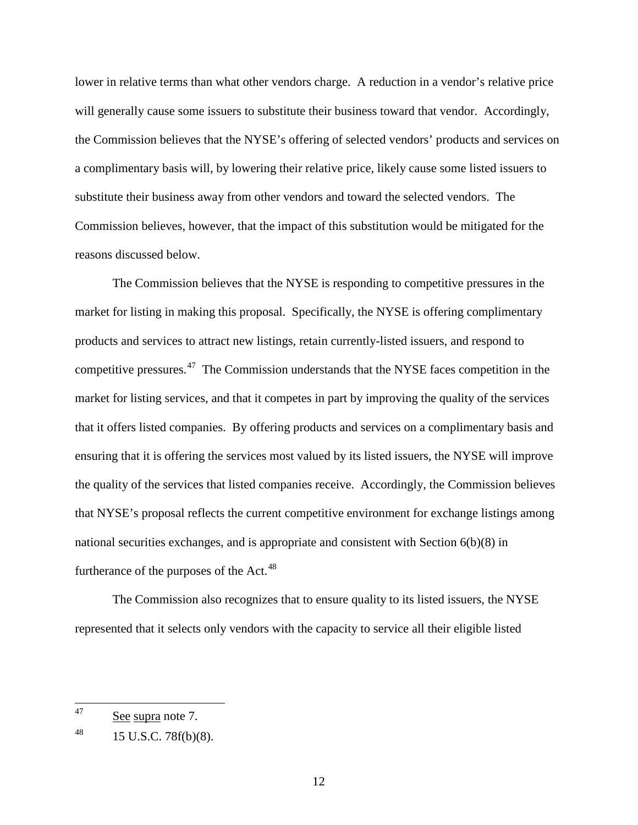lower in relative terms than what other vendors charge. A reduction in a vendor's relative price will generally cause some issuers to substitute their business toward that vendor. Accordingly, the Commission believes that the NYSE's offering of selected vendors' products and services on a complimentary basis will, by lowering their relative price, likely cause some listed issuers to substitute their business away from other vendors and toward the selected vendors. The Commission believes, however, that the impact of this substitution would be mitigated for the reasons discussed below.

The Commission believes that the NYSE is responding to competitive pressures in the market for listing in making this proposal. Specifically, the NYSE is offering complimentary products and services to attract new listings, retain currently-listed issuers, and respond to competitive pressures.[47](#page-11-0) The Commission understands that the NYSE faces competition in the market for listing services, and that it competes in part by improving the quality of the services that it offers listed companies. By offering products and services on a complimentary basis and ensuring that it is offering the services most valued by its listed issuers, the NYSE will improve the quality of the services that listed companies receive. Accordingly, the Commission believes that NYSE's proposal reflects the current competitive environment for exchange listings among national securities exchanges, and is appropriate and consistent with Section 6(b)(8) in furtherance of the purposes of the Act. $48$ 

The Commission also recognizes that to ensure quality to its listed issuers, the NYSE represented that it selects only vendors with the capacity to service all their eligible listed

<span id="page-11-0"></span><sup>47</sup> See supra note 7.

<span id="page-11-1"></span> $^{48}$  15 U.S.C. 78f(b)(8).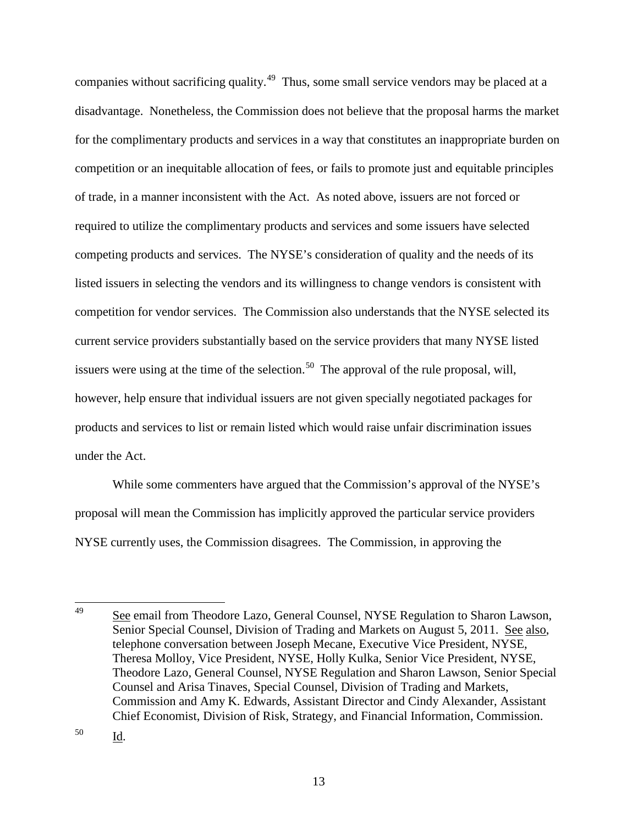companies without sacrificing quality.<sup>49</sup> Thus, some small service vendors may be placed at a disadvantage. Nonetheless, the Commission does not believe that the proposal harms the market for the complimentary products and services in a way that constitutes an inappropriate burden on competition or an inequitable allocation of fees, or fails to promote just and equitable principles of trade, in a manner inconsistent with the Act. As noted above, issuers are not forced or required to utilize the complimentary products and services and some issuers have selected competing products and services. The NYSE's consideration of quality and the needs of its listed issuers in selecting the vendors and its willingness to change vendors is consistent with competition for vendor services. The Commission also understands that the NYSE selected its current service providers substantially based on the service providers that many NYSE listed issuers were using at the time of the selection.<sup>[50](#page-12-1)</sup> The approval of the rule proposal, will, however, help ensure that individual issuers are not given specially negotiated packages for products and services to list or remain listed which would raise unfair discrimination issues under the Act.

While some commenters have argued that the Commission's approval of the NYSE's proposal will mean the Commission has implicitly approved the particular service providers NYSE currently uses, the Commission disagrees. The Commission, in approving the

<span id="page-12-1"></span>50 Id.

<span id="page-12-0"></span><sup>49</sup> See email from Theodore Lazo, General Counsel, NYSE Regulation to Sharon Lawson, Senior Special Counsel, Division of Trading and Markets on August 5, 2011. See also, telephone conversation between Joseph Mecane, Executive Vice President, NYSE, Theresa Molloy, Vice President, NYSE, Holly Kulka, Senior Vice President, NYSE, Theodore Lazo, General Counsel, NYSE Regulation and Sharon Lawson, Senior Special Counsel and Arisa Tinaves, Special Counsel, Division of Trading and Markets, Commission and Amy K. Edwards, Assistant Director and Cindy Alexander, Assistant Chief Economist, Division of Risk, Strategy, and Financial Information, Commission.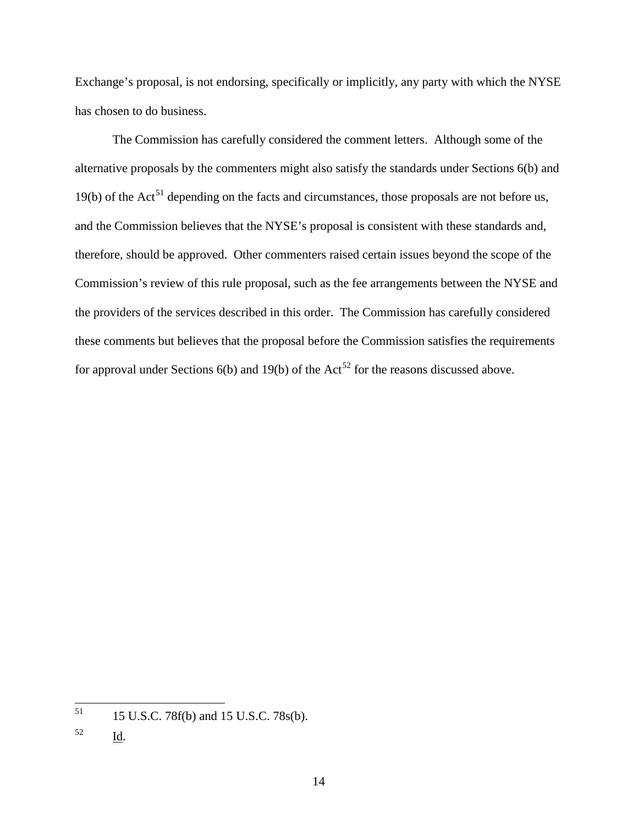Exchange's proposal, is not endorsing, specifically or implicitly, any party with which the NYSE has chosen to do business.

The Commission has carefully considered the comment letters. Although some of the alternative proposals by the commenters might also satisfy the standards under Sections 6(b) and 19(b) of the Act<sup>51</sup> depending on the facts and circumstances, those proposals are not before us, and the Commission believes that the NYSE's proposal is consistent with these standards and, therefore, should be approved. Other commenters raised certain issues beyond the scope of the Commission's review of this rule proposal, such as the fee arrangements between the NYSE and the providers of the services described in this order. The Commission has carefully considered these comments but believes that the proposal before the Commission satisfies the requirements for approval under Sections  $6(b)$  and  $19(b)$  of the Act<sup>[52](#page-13-1)</sup> for the reasons discussed above.

<span id="page-13-0"></span> $51$ 51 15 U.S.C. 78f(b) and 15 U.S.C. 78s(b).

<span id="page-13-1"></span> $\frac{52}{\underline{Id}}$ .